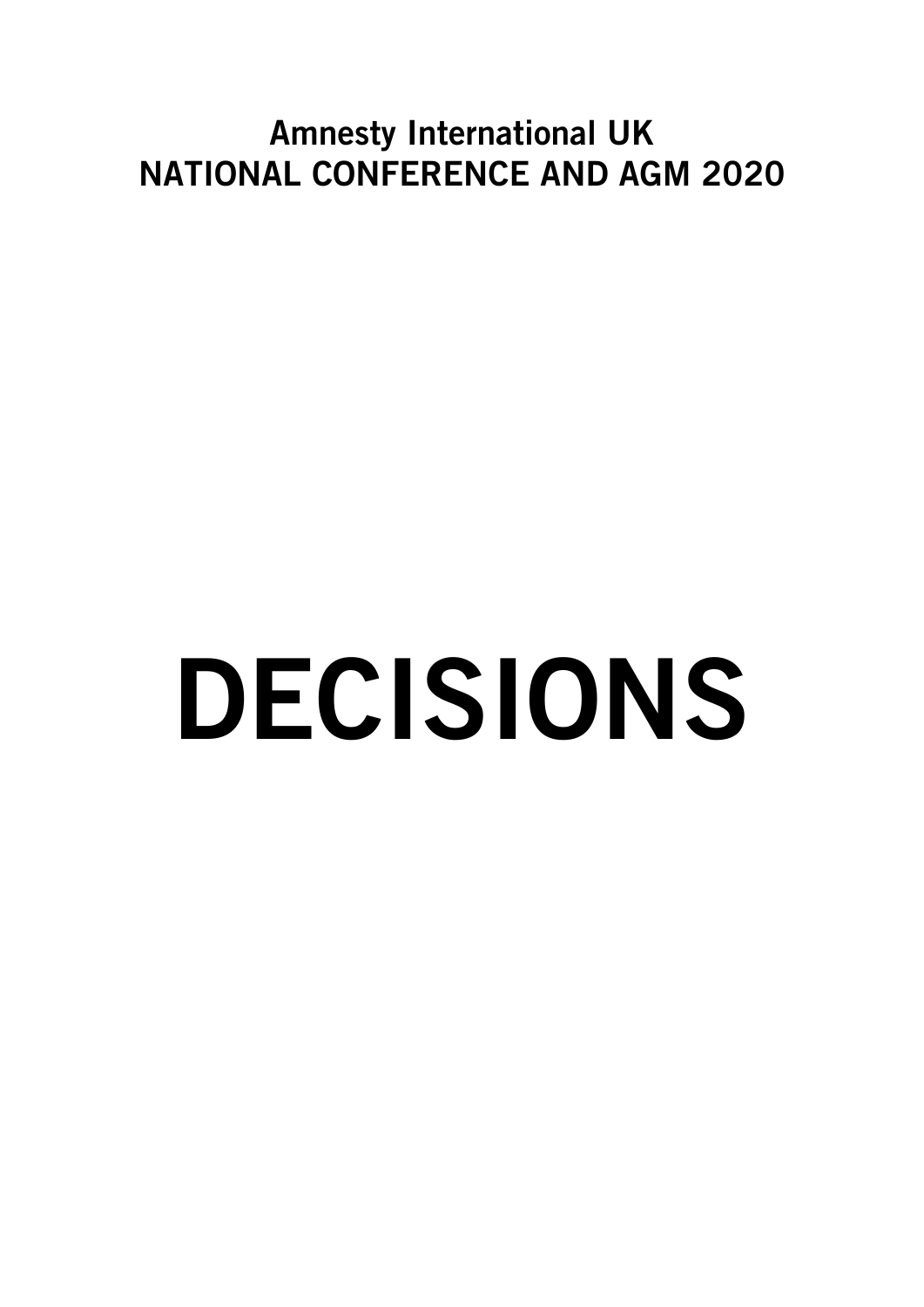# Amnesty International UK NATIONAL CONFERENCE AND AGM 2020

# DECISIONS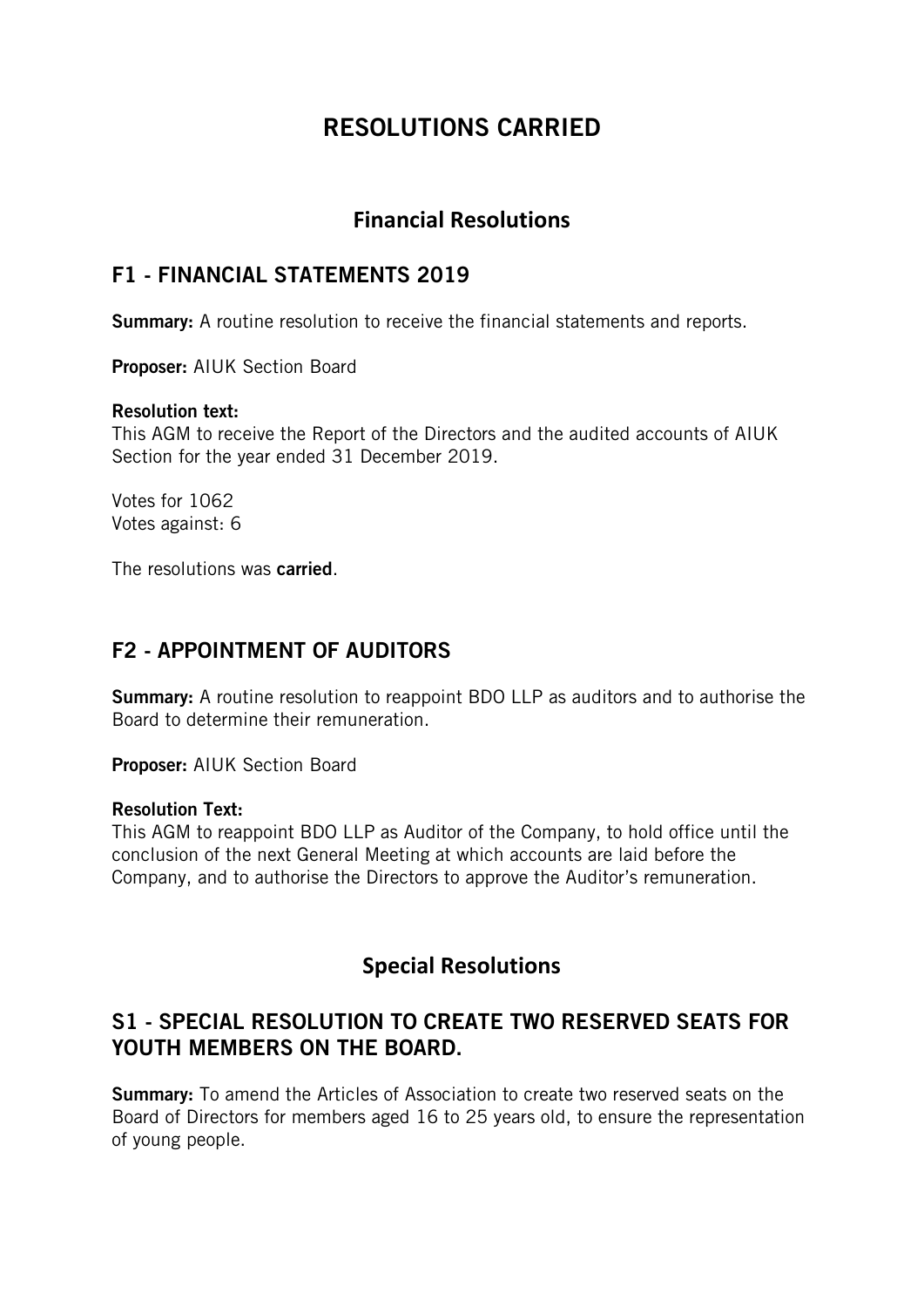# RESOLUTIONS CARRIED

# **Financial Resolutions**

### F1 - FINANCIAL STATEMENTS 2019

**Summary:** A routine resolution to receive the financial statements and reports.

Proposer: AIUK Section Board

### Resolution text:

This AGM to receive the Report of the Directors and the audited accounts of AIUK Section for the year ended 31 December 2019.

Votes for 1062 Votes against: 6

The resolutions was carried.

# F2 - APPOINTMENT OF AUDITORS

**Summary:** A routine resolution to reappoint BDO LLP as auditors and to authorise the Board to determine their remuneration.

Proposer: AIUK Section Board

### Resolution Text:

This AGM to reappoint BDO LLP as Auditor of the Company, to hold office until the conclusion of the next General Meeting at which accounts are laid before the Company, and to authorise the Directors to approve the Auditor's remuneration.

## **Special Resolutions**

# S1 - SPECIAL RESOLUTION TO CREATE TWO RESERVED SEATS FOR YOUTH MEMBERS ON THE BOARD.

Summary: To amend the Articles of Association to create two reserved seats on the Board of Directors for members aged 16 to 25 years old, to ensure the representation of young people.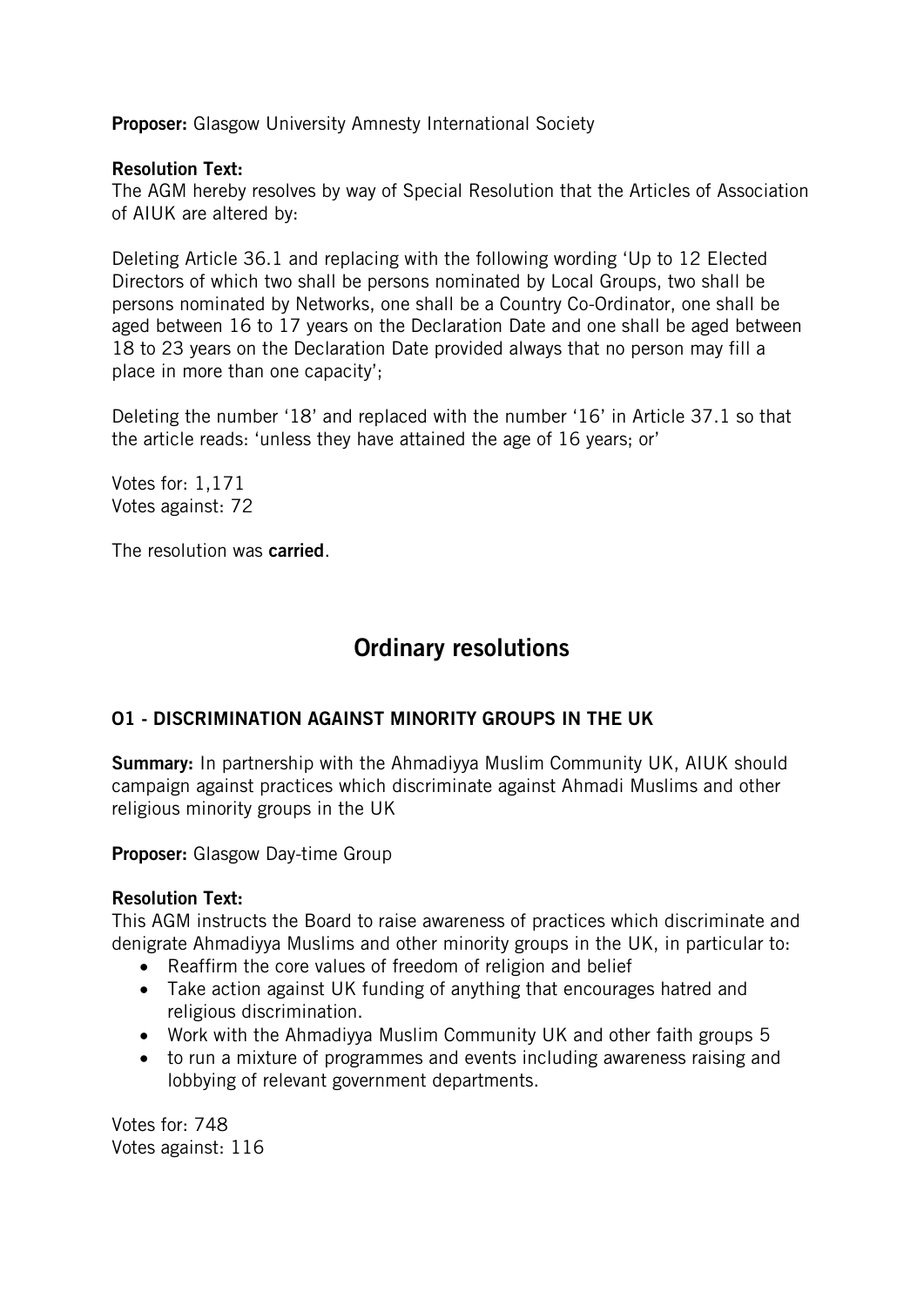Proposer: Glasgow University Amnesty International Society

### Resolution Text:

The AGM hereby resolves by way of Special Resolution that the Articles of Association of AIUK are altered by:

Deleting Article 36.1 and replacing with the following wording 'Up to 12 Elected Directors of which two shall be persons nominated by Local Groups, two shall be persons nominated by Networks, one shall be a Country Co-Ordinator, one shall be aged between 16 to 17 years on the Declaration Date and one shall be aged between 18 to 23 years on the Declaration Date provided always that no person may fill a place in more than one capacity';

Deleting the number '18' and replaced with the number '16' in Article 37.1 so that the article reads: 'unless they have attained the age of 16 years; or'

Votes for: 1,171 Votes against: 72

The resolution was **carried**.

# Ordinary resolutions

### O1 - DISCRIMINATION AGAINST MINORITY GROUPS IN THE UK

Summary: In partnership with the Ahmadiyya Muslim Community UK, AIUK should campaign against practices which discriminate against Ahmadi Muslims and other religious minority groups in the UK

Proposer: Glasgow Day-time Group

### Resolution Text:

This AGM instructs the Board to raise awareness of practices which discriminate and denigrate Ahmadiyya Muslims and other minority groups in the UK, in particular to:

- Reaffirm the core values of freedom of religion and belief
- Take action against UK funding of anything that encourages hatred and religious discrimination.
- Work with the Ahmadiyya Muslim Community UK and other faith groups 5
- to run a mixture of programmes and events including awareness raising and lobbying of relevant government departments.

Votes for: 748 Votes against: 116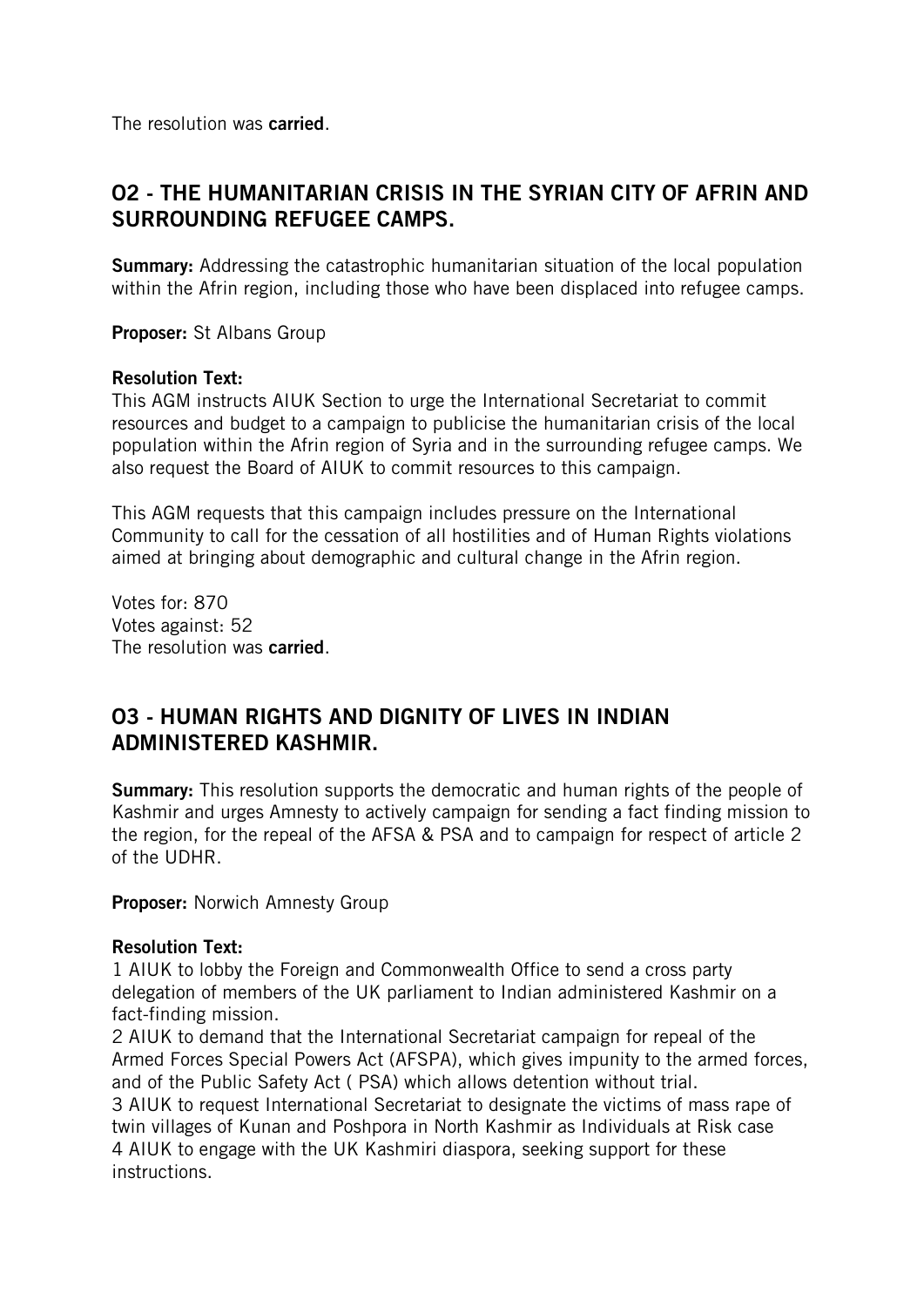The resolution was carried.

# O2 - THE HUMANITARIAN CRISIS IN THE SYRIAN CITY OF AFRIN AND SURROUNDING REFUGEE CAMPS.

**Summary:** Addressing the catastrophic humanitarian situation of the local population within the Afrin region, including those who have been displaced into refugee camps.

Proposer: St Albans Group

### Resolution Text:

This AGM instructs AIUK Section to urge the International Secretariat to commit resources and budget to a campaign to publicise the humanitarian crisis of the local population within the Afrin region of Syria and in the surrounding refugee camps. We also request the Board of AIUK to commit resources to this campaign.

This AGM requests that this campaign includes pressure on the International Community to call for the cessation of all hostilities and of Human Rights violations aimed at bringing about demographic and cultural change in the Afrin region.

Votes for: 870 Votes against: 52 The resolution was carried.

## O3 - HUMAN RIGHTS AND DIGNITY OF LIVES IN INDIAN ADMINISTERED KASHMIR.

**Summary:** This resolution supports the democratic and human rights of the people of Kashmir and urges Amnesty to actively campaign for sending a fact finding mission to the region, for the repeal of the AFSA & PSA and to campaign for respect of article 2 of the UDHR.

Proposer: Norwich Amnesty Group

### Resolution Text:

1 AIUK to lobby the Foreign and Commonwealth Office to send a cross party delegation of members of the UK parliament to Indian administered Kashmir on a fact-finding mission.

2 AIUK to demand that the International Secretariat campaign for repeal of the Armed Forces Special Powers Act (AFSPA), which gives impunity to the armed forces, and of the Public Safety Act ( PSA) which allows detention without trial. 3 AIUK to request International Secretariat to designate the victims of mass rape of twin villages of Kunan and Poshpora in North Kashmir as Individuals at Risk case 4 AIUK to engage with the UK Kashmiri diaspora, seeking support for these instructions.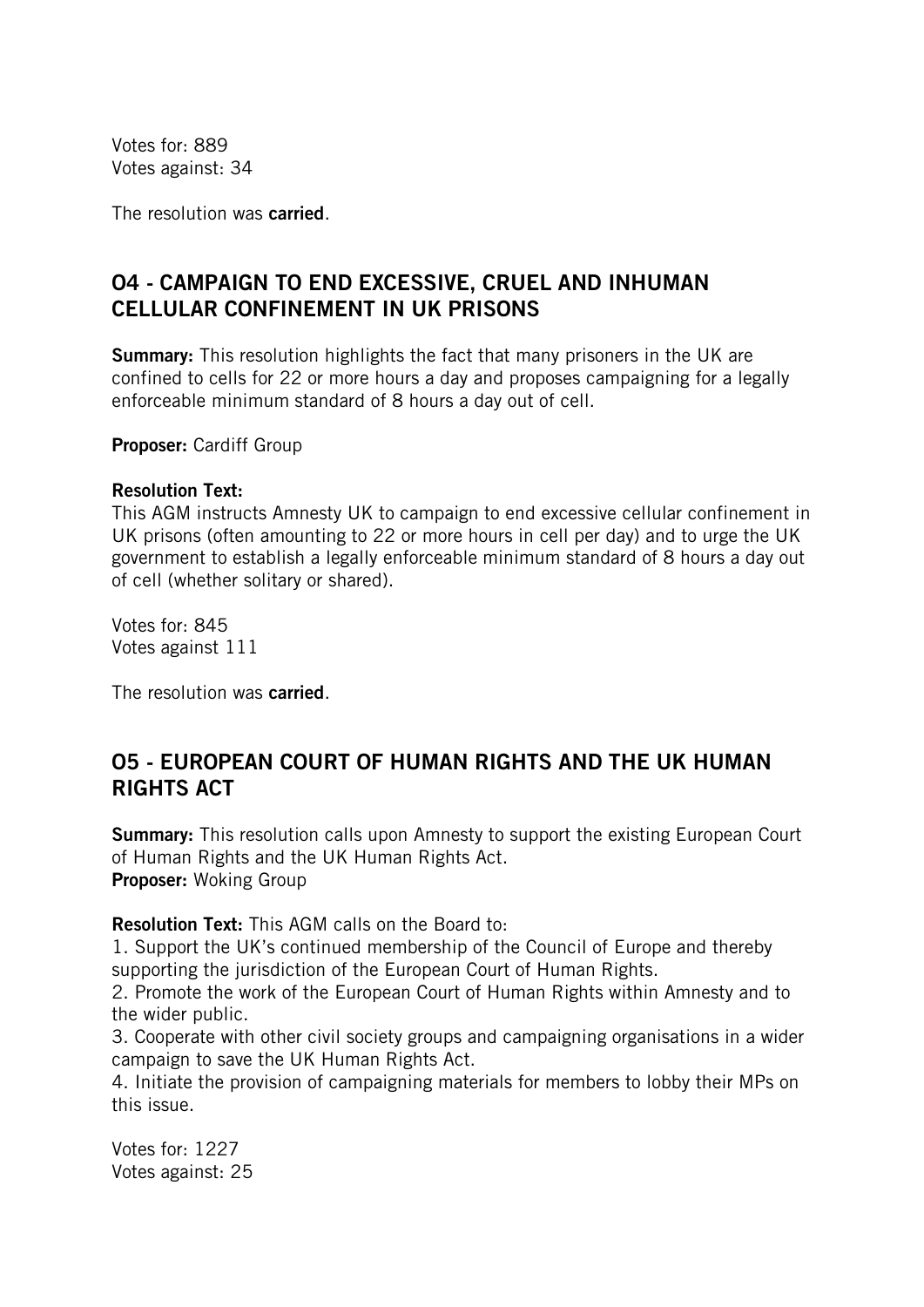Votes for: 889 Votes against: 34

The resolution was carried.

# O4 - CAMPAIGN TO END EXCESSIVE, CRUEL AND INHUMAN CELLULAR CONFINEMENT IN UK PRISONS

**Summary:** This resolution highlights the fact that many prisoners in the UK are confined to cells for 22 or more hours a day and proposes campaigning for a legally enforceable minimum standard of 8 hours a day out of cell.

Proposer: Cardiff Group

### Resolution Text:

This AGM instructs Amnesty UK to campaign to end excessive cellular confinement in UK prisons (often amounting to 22 or more hours in cell per day) and to urge the UK government to establish a legally enforceable minimum standard of 8 hours a day out of cell (whether solitary or shared).

Votes for: 845 Votes against 111

The resolution was carried.

## O5 - EUROPEAN COURT OF HUMAN RIGHTS AND THE UK HUMAN RIGHTS ACT

**Summary:** This resolution calls upon Amnesty to support the existing European Court of Human Rights and the UK Human Rights Act. Proposer: Woking Group

Resolution Text: This AGM calls on the Board to:

1. Support the UK's continued membership of the Council of Europe and thereby supporting the jurisdiction of the European Court of Human Rights.

2. Promote the work of the European Court of Human Rights within Amnesty and to the wider public.

3. Cooperate with other civil society groups and campaigning organisations in a wider campaign to save the UK Human Rights Act.

4. Initiate the provision of campaigning materials for members to lobby their MPs on this issue.

Votes for: 1227 Votes against: 25